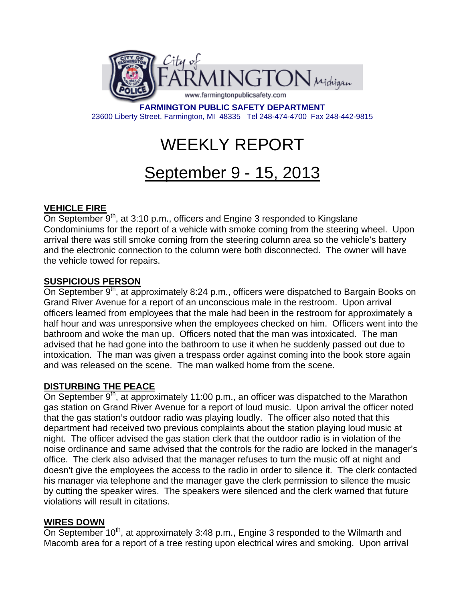

**FARMINGTON PUBLIC SAFETY DEPARTMENT**  23600 Liberty Street, Farmington, MI 48335 Tel 248-474-4700 Fax 248-442-9815

# WEEKLY REPORT

# September 9 - 15, 2013

# **VEHICLE FIRE**

On September  $9<sup>th</sup>$ , at 3:10 p.m., officers and Engine 3 responded to Kingslane Condominiums for the report of a vehicle with smoke coming from the steering wheel. Upon arrival there was still smoke coming from the steering column area so the vehicle's battery and the electronic connection to the column were both disconnected. The owner will have the vehicle towed for repairs.

### **SUSPICIOUS PERSON**

On September  $9<sup>th</sup>$ , at approximately 8:24 p.m., officers were dispatched to Bargain Books on Grand River Avenue for a report of an unconscious male in the restroom. Upon arrival officers learned from employees that the male had been in the restroom for approximately a half hour and was unresponsive when the employees checked on him. Officers went into the bathroom and woke the man up. Officers noted that the man was intoxicated. The man advised that he had gone into the bathroom to use it when he suddenly passed out due to intoxication. The man was given a trespass order against coming into the book store again and was released on the scene. The man walked home from the scene.

#### **DISTURBING THE PEACE**

On September  $9<sup>th</sup>$ , at approximately 11:00 p.m., an officer was dispatched to the Marathon gas station on Grand River Avenue for a report of loud music. Upon arrival the officer noted that the gas station's outdoor radio was playing loudly. The officer also noted that this department had received two previous complaints about the station playing loud music at night. The officer advised the gas station clerk that the outdoor radio is in violation of the noise ordinance and same advised that the controls for the radio are locked in the manager's office. The clerk also advised that the manager refuses to turn the music off at night and doesn't give the employees the access to the radio in order to silence it. The clerk contacted his manager via telephone and the manager gave the clerk permission to silence the music by cutting the speaker wires. The speakers were silenced and the clerk warned that future violations will result in citations.

#### **WIRES DOWN**

On September 10<sup>th</sup>, at approximately 3:48 p.m., Engine 3 responded to the Wilmarth and Macomb area for a report of a tree resting upon electrical wires and smoking. Upon arrival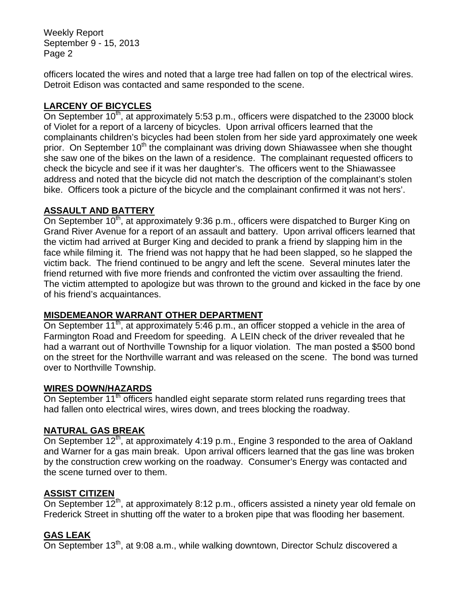Weekly Report September 9 - 15, 2013 Page 2

officers located the wires and noted that a large tree had fallen on top of the electrical wires. Detroit Edison was contacted and same responded to the scene.

# **LARCENY OF BICYCLES**

On September  $10<sup>th</sup>$ , at approximately 5:53 p.m., officers were dispatched to the 23000 block of Violet for a report of a larceny of bicycles. Upon arrival officers learned that the complainants children's bicycles had been stolen from her side yard approximately one week prior. On September 10<sup>th</sup> the complainant was driving down Shiawassee when she thought she saw one of the bikes on the lawn of a residence. The complainant requested officers to check the bicycle and see if it was her daughter's. The officers went to the Shiawassee address and noted that the bicycle did not match the description of the complainant's stolen bike. Officers took a picture of the bicycle and the complainant confirmed it was not hers'.

#### **ASSAULT AND BATTERY**

On September 10<sup>th</sup>, at approximately 9:36 p.m., officers were dispatched to Burger King on Grand River Avenue for a report of an assault and battery. Upon arrival officers learned that the victim had arrived at Burger King and decided to prank a friend by slapping him in the face while filming it. The friend was not happy that he had been slapped, so he slapped the victim back. The friend continued to be angry and left the scene. Several minutes later the friend returned with five more friends and confronted the victim over assaulting the friend. The victim attempted to apologize but was thrown to the ground and kicked in the face by one of his friend's acquaintances.

#### **MISDEMEANOR WARRANT OTHER DEPARTMENT**

On September 11<sup>th</sup>, at approximately 5:46 p.m., an officer stopped a vehicle in the area of Farmington Road and Freedom for speeding. A LEIN check of the driver revealed that he had a warrant out of Northville Township for a liquor violation. The man posted a \$500 bond on the street for the Northville warrant and was released on the scene. The bond was turned over to Northville Township.

#### **WIRES DOWN/HAZARDS**

On September 11<sup>th</sup> officers handled eight separate storm related runs regarding trees that had fallen onto electrical wires, wires down, and trees blocking the roadway.

#### **NATURAL GAS BREAK**

On September 12<sup>th</sup>, at approximately 4:19 p.m., Engine 3 responded to the area of Oakland and Warner for a gas main break. Upon arrival officers learned that the gas line was broken by the construction crew working on the roadway. Consumer's Energy was contacted and the scene turned over to them.

#### **ASSIST CITIZEN**

On September 12<sup>th</sup>, at approximately 8:12 p.m., officers assisted a ninety year old female on Frederick Street in shutting off the water to a broken pipe that was flooding her basement.

#### **GAS LEAK**

On September  $13<sup>th</sup>$ , at 9:08 a.m., while walking downtown, Director Schulz discovered a